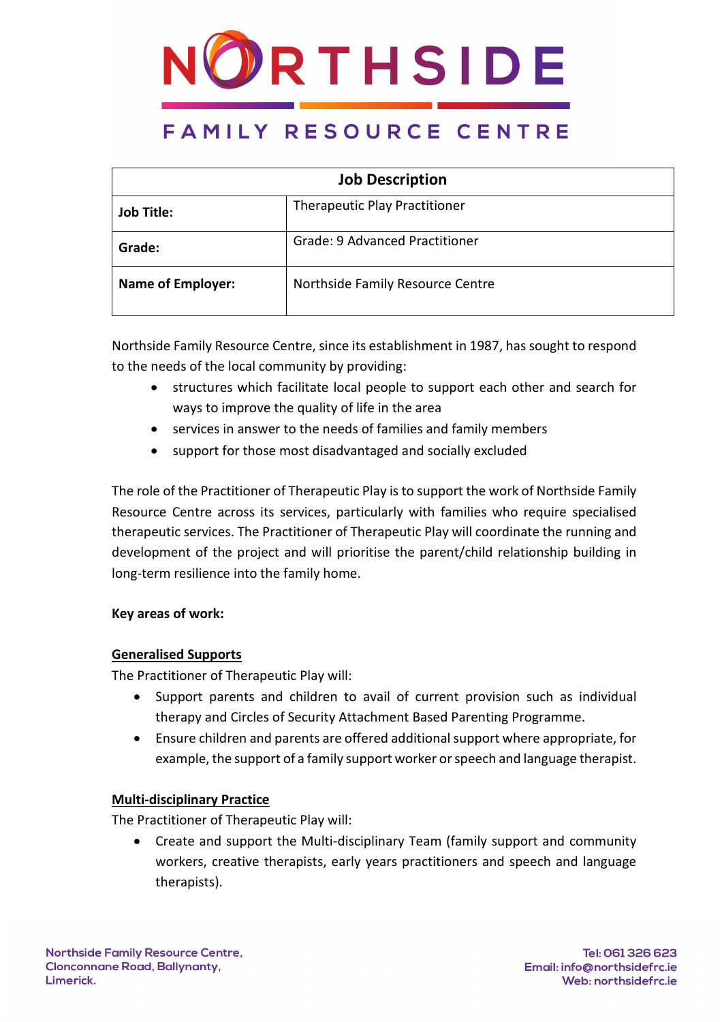

| <b>Job Description</b>   |                                       |  |  |  |
|--------------------------|---------------------------------------|--|--|--|
| <b>Job Title:</b>        | <b>Therapeutic Play Practitioner</b>  |  |  |  |
| Grade:                   | <b>Grade: 9 Advanced Practitioner</b> |  |  |  |
| <b>Name of Employer:</b> | Northside Family Resource Centre      |  |  |  |

Northside Family Resource Centre, since its establishment in 1987, has sought to respond to the needs of the local community by providing:

- structures which facilitate local people to support each other and search for ways to improve the quality of life in the area
- services in answer to the needs of families and family members
- support for those most disadvantaged and socially excluded

The role of the Practitioner of Therapeutic Play is to support the work of Northside Family Resource Centre across its services, particularly with families who require specialised therapeutic services. The Practitioner of Therapeutic Play will coordinate the running and development of the project and will prioritise the parent/child relationship building in long-term resilience into the family home.

#### **Key areas of work:**

### **Generalised Supports**

The Practitioner of Therapeutic Play will:

- Support parents and children to avail of current provision such as individual therapy and Circles of Security Attachment Based Parenting Programme.
- Ensure children and parents are offered additional support where appropriate, for example, the support of a family support worker or speech and language therapist.

#### **Multi-disciplinary Practice**

The Practitioner of Therapeutic Play will:

• Create and support the Multi-disciplinary Team (family support and community workers, creative therapists, early years practitioners and speech and language therapists).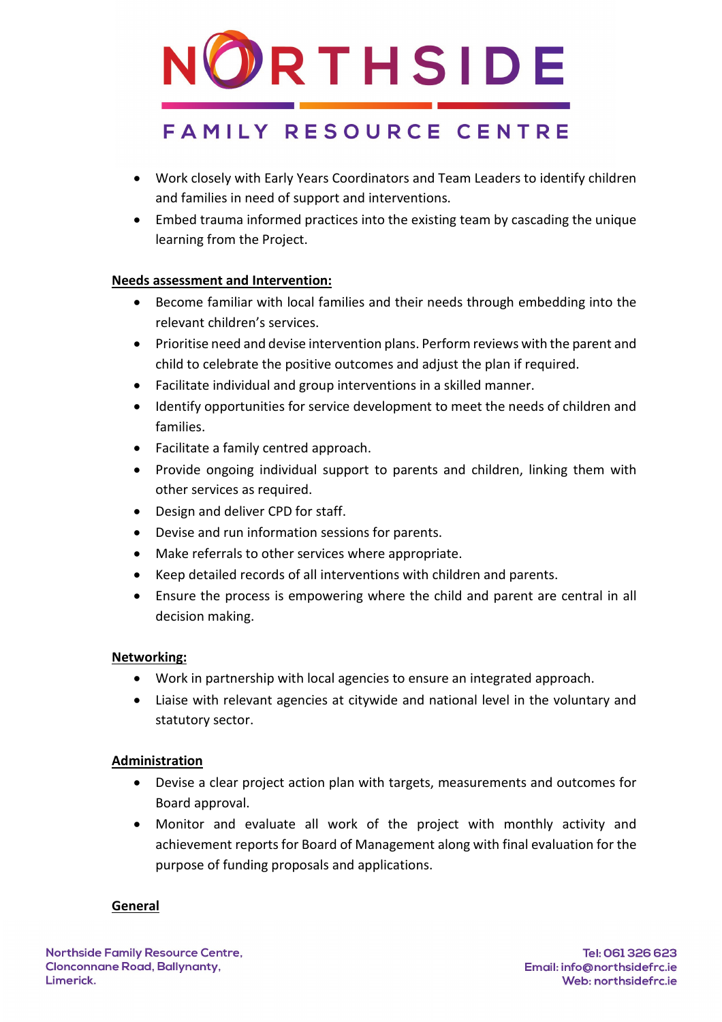

- Work closely with Early Years Coordinators and Team Leaders to identify children and families in need of support and interventions.
- Embed trauma informed practices into the existing team by cascading the unique learning from the Project.

### **Needs assessment and Intervention:**

- Become familiar with local families and their needs through embedding into the relevant children's services.
- Prioritise need and devise intervention plans. Perform reviews with the parent and child to celebrate the positive outcomes and adjust the plan if required.
- Facilitate individual and group interventions in a skilled manner.
- Identify opportunities for service development to meet the needs of children and families.
- Facilitate a family centred approach.
- Provide ongoing individual support to parents and children, linking them with other services as required.
- Design and deliver CPD for staff.
- Devise and run information sessions for parents.
- Make referrals to other services where appropriate.
- Keep detailed records of all interventions with children and parents.
- Ensure the process is empowering where the child and parent are central in all decision making.

#### **Networking:**

- Work in partnership with local agencies to ensure an integrated approach.
- Liaise with relevant agencies at citywide and national level in the voluntary and statutory sector.

#### **Administration**

- Devise a clear project action plan with targets, measurements and outcomes for Board approval.
- Monitor and evaluate all work of the project with monthly activity and achievement reports for Board of Management along with final evaluation for the purpose of funding proposals and applications.

#### **General**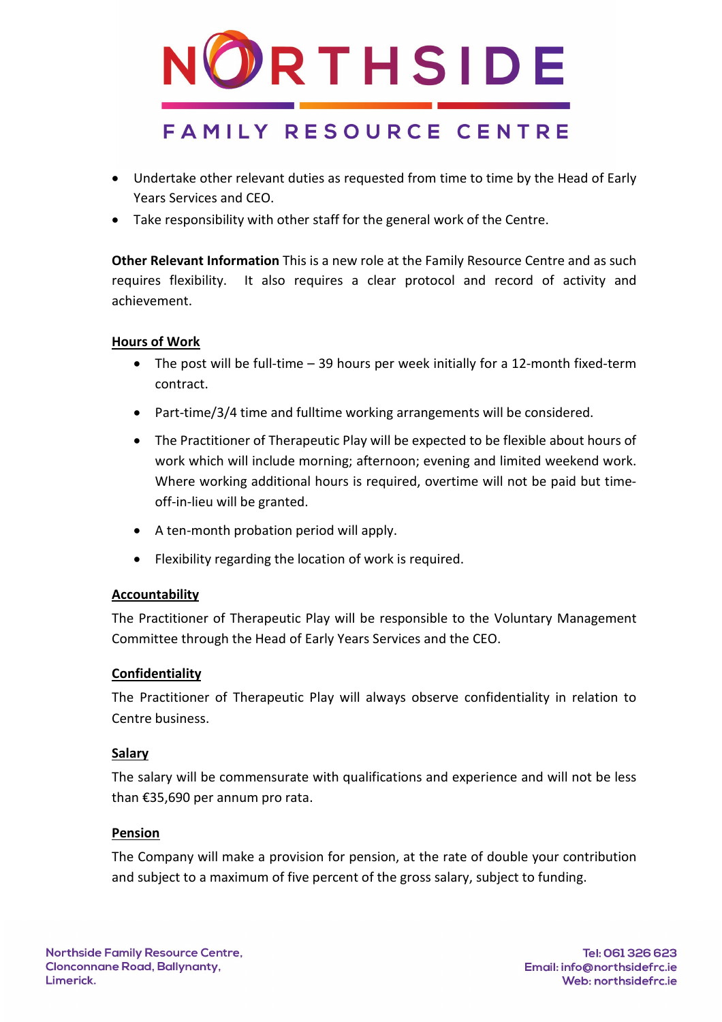

- Undertake other relevant duties as requested from time to time by the Head of Early Years Services and CEO.
- Take responsibility with other staff for the general work of the Centre.

**Other Relevant Information** This is a new role at the Family Resource Centre and as such requires flexibility. It also requires a clear protocol and record of activity and achievement.

#### **Hours of Work**

- The post will be full-time 39 hours per week initially for a 12-month fixed-term contract.
- Part-time/3/4 time and fulltime working arrangements will be considered.
- The Practitioner of Therapeutic Play will be expected to be flexible about hours of work which will include morning; afternoon; evening and limited weekend work. Where working additional hours is required, overtime will not be paid but timeoff-in-lieu will be granted.
- A ten-month probation period will apply.
- Flexibility regarding the location of work is required.

#### **Accountability**

The Practitioner of Therapeutic Play will be responsible to the Voluntary Management Committee through the Head of Early Years Services and the CEO.

#### **Confidentiality**

The Practitioner of Therapeutic Play will always observe confidentiality in relation to Centre business.

#### **Salary**

The salary will be commensurate with qualifications and experience and will not be less than €35,690 per annum pro rata.

#### **Pension**

The Company will make a provision for pension, at the rate of double your contribution and subject to a maximum of five percent of the gross salary, subject to funding.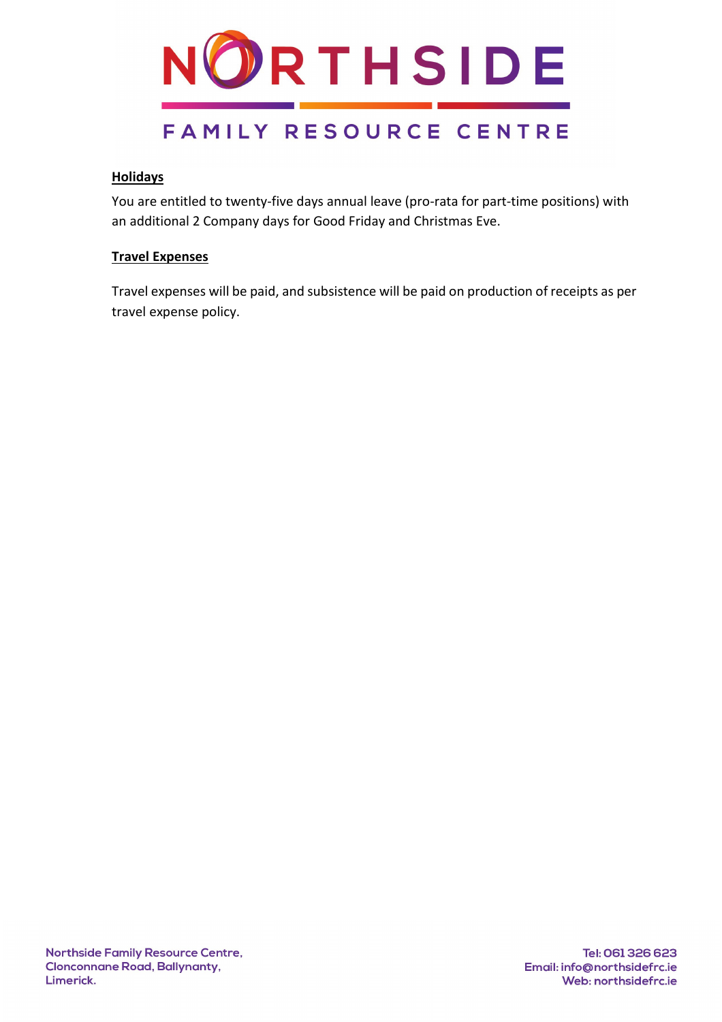

#### **Holidays**

You are entitled to twenty-five days annual leave (pro-rata for part-time positions) with an additional 2 Company days for Good Friday and Christmas Eve.

#### **Travel Expenses**

Travel expenses will be paid, and subsistence will be paid on production of receipts as per travel expense policy.